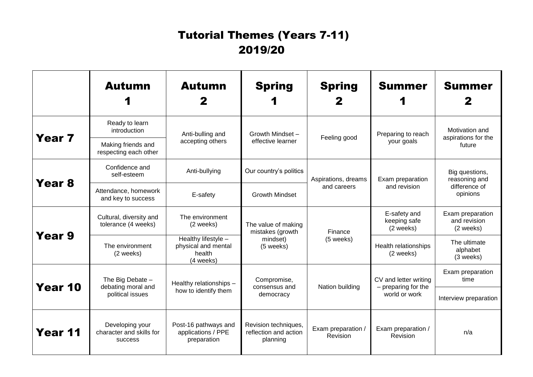## Tutorial Themes (Years 7-11) 2019/20

|                   | <b>Autumn</b>                                                 | <b>Autumn</b>                                                     | <b>Spring</b>                                                    | <b>Spring</b>                      | <b>Summer</b>                                                 | <b>Summer</b>                                                |
|-------------------|---------------------------------------------------------------|-------------------------------------------------------------------|------------------------------------------------------------------|------------------------------------|---------------------------------------------------------------|--------------------------------------------------------------|
| Year <sub>7</sub> | Ready to learn<br>introduction                                | Anti-bulling and<br>accepting others                              | Growth Mindset -<br>effective learner                            | Feeling good                       | Preparing to reach<br>your goals                              | Motivation and<br>aspirations for the<br>future              |
|                   | Making friends and<br>respecting each other                   |                                                                   |                                                                  |                                    |                                                               |                                                              |
| Year <sub>8</sub> | Confidence and<br>self-esteem                                 | Anti-bullying                                                     | Our country's politics                                           | Aspirations, dreams<br>and careers | Exam preparation<br>and revision                              | Big questions,<br>reasoning and<br>difference of<br>opinions |
|                   | Attendance, homework<br>and key to success                    | E-safety                                                          | <b>Growth Mindset</b>                                            |                                    |                                                               |                                                              |
| Year 9            | Cultural, diversity and<br>tolerance (4 weeks)                | The environment<br>(2 weeks)                                      | The value of making<br>mistakes (growth<br>mindset)<br>(5 weeks) | Finance<br>(5 weeks)               | E-safety and<br>keeping safe<br>(2 weeks)                     | Exam preparation<br>and revision<br>(2 weeks)                |
|                   | The environment<br>(2 weeks)                                  | Healthy lifestyle -<br>physical and mental<br>health<br>(4 weeks) |                                                                  |                                    | Health relationships<br>(2 weeks)                             | The ultimate<br>alphabet<br>(3 weeks)                        |
| Year 10           | The Big Debate -<br>debating moral and<br>political issues    | Healthy relationships -<br>how to identify them                   | Compromise,<br>consensus and<br>democracy                        | Nation building                    | CV and letter writing<br>- preparing for the<br>world or work | Exam preparation<br>time                                     |
|                   |                                                               |                                                                   |                                                                  |                                    |                                                               | Interview preparation                                        |
| Year 11           | Developing your<br>character and skills for<br><b>SUCCESS</b> | Post-16 pathways and<br>applications / PPE<br>preparation         | Revision techniques,<br>reflection and action<br>planning        | Exam preparation /<br>Revision     | Exam preparation /<br>Revision                                | n/a                                                          |